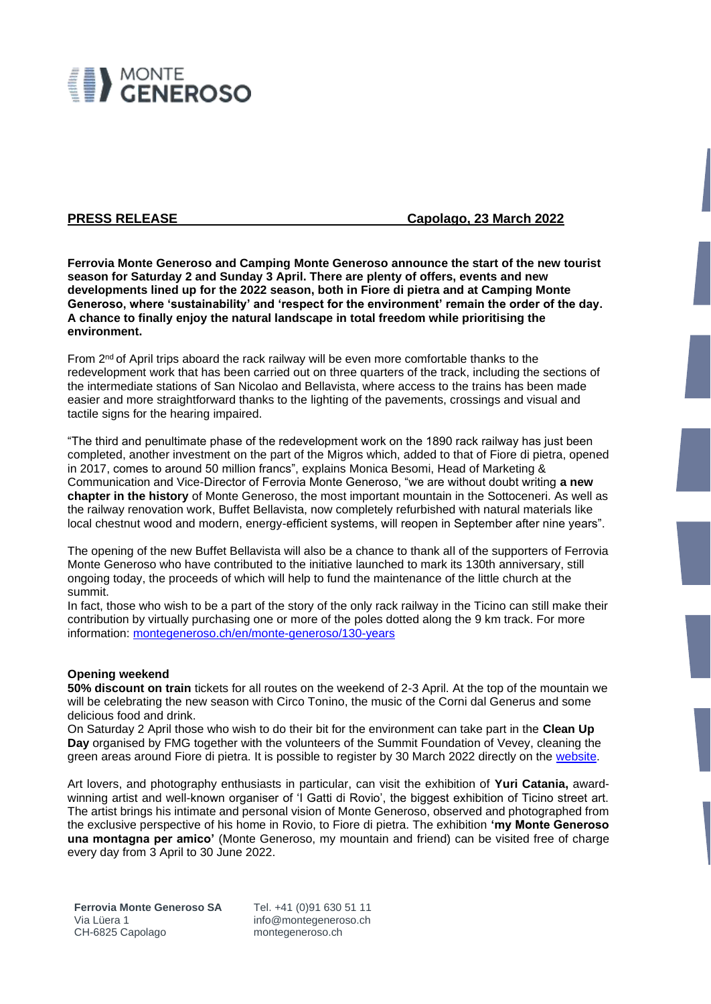

**PRESS RELEASE** Capolago, 23 March 2022

**Ferrovia Monte Generoso and Camping Monte Generoso announce the start of the new tourist season for Saturday 2 and Sunday 3 April. There are plenty of offers, events and new developments lined up for the 2022 season, both in Fiore di pietra and at Camping Monte Generoso, where 'sustainability' and 'respect for the environment' remain the order of the day. A chance to finally enjoy the natural landscape in total freedom while prioritising the environment.** 

From 2<sup>nd</sup> of April trips aboard the rack railway will be even more comfortable thanks to the redevelopment work that has been carried out on three quarters of the track, including the sections of the intermediate stations of San Nicolao and Bellavista, where access to the trains has been made easier and more straightforward thanks to the lighting of the pavements, crossings and visual and tactile signs for the hearing impaired.

"The third and penultimate phase of the redevelopment work on the 1890 rack railway has just been completed, another investment on the part of the Migros which, added to that of Fiore di pietra, opened in 2017, comes to around 50 million francs", explains Monica Besomi, Head of Marketing & Communication and Vice-Director of Ferrovia Monte Generoso, "we are without doubt writing **a new chapter in the history** of Monte Generoso, the most important mountain in the Sottoceneri. As well as the railway renovation work, Buffet Bellavista, now completely refurbished with natural materials like local chestnut wood and modern, energy-efficient systems, will reopen in September after nine years".

The opening of the new Buffet Bellavista will also be a chance to thank all of the supporters of Ferrovia Monte Generoso who have contributed to the initiative launched to mark its 130th anniversary, still ongoing today, the proceeds of which will help to fund the maintenance of the little church at the summit.

In fact, those who wish to be a part of the story of the only rack railway in the Ticino can still make their contribution by virtually purchasing one or more of the poles dotted along the 9 km track. For more information: [montegeneroso.ch/en/monte-generoso/130-years](https://www.montegeneroso.ch/en/monte-generoso/130-years)

## **Opening weekend**

**50% discount on train** tickets for all routes on the weekend of 2-3 April. At the top of the mountain we will be celebrating the new season with Circo Tonino, the music of the Corni dal Generus and some delicious food and drink.

On Saturday 2 April those who wish to do their bit for the environment can take part in the **Clean Up Day** organised by FMG together with the volunteers of the Summit Foundation of Vevey, cleaning the green areas around Fiore di pietra. It is possible to register by 30 March 2022 directly on the [website.](https://www.montegeneroso.ch/en/events/events-calendar/events-detail/id/27736/april-2nd-clean-up-day)

Art lovers, and photography enthusiasts in particular, can visit the exhibition of **Yuri Catania,** awardwinning artist and well-known organiser of 'I Gatti di Rovio', the biggest exhibition of Ticino street art. The artist brings his intimate and personal vision of Monte Generoso, observed and photographed from the exclusive perspective of his home in Rovio, to Fiore di pietra. The exhibition **'my Monte Generoso una montagna per amico'** (Monte Generoso, my mountain and friend) can be visited free of charge every day from 3 April to 30 June 2022.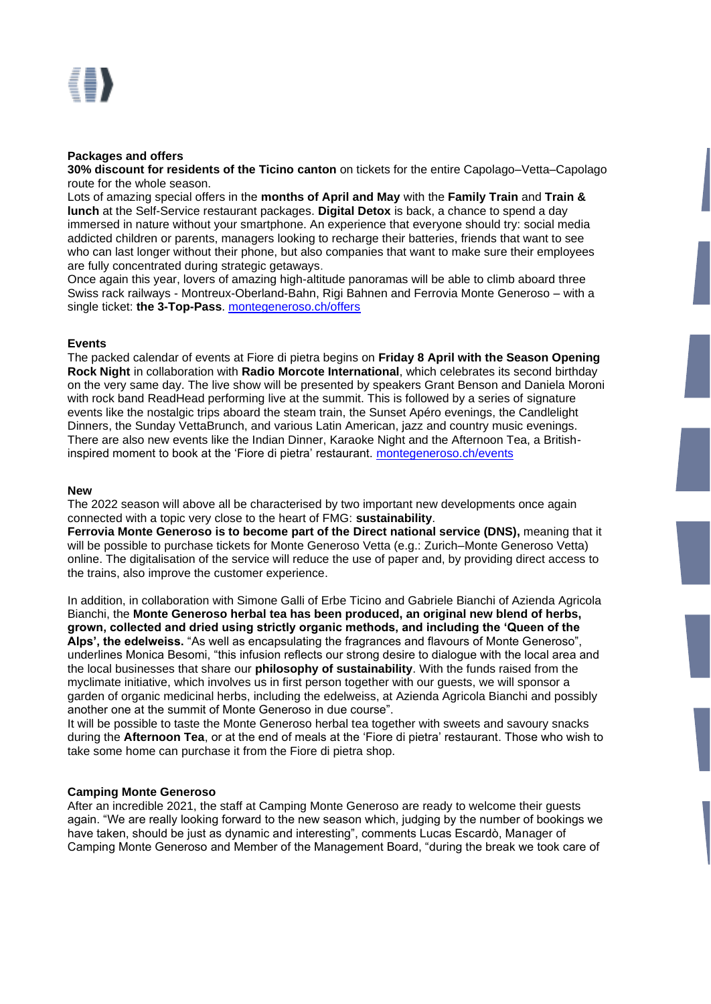# **Packages and offers**

**30% discount for residents of the Ticino canton** on tickets for the entire Capolago–Vetta–Capolago route for the whole season.

Lots of amazing special offers in the **months of April and May** with the **Family Train** and **Train & lunch** at the Self-Service restaurant packages. **Digital Detox** is back, a chance to spend a day immersed in nature without your smartphone. An experience that everyone should try: social media addicted children or parents, managers looking to recharge their batteries, friends that want to see who can last longer without their phone, but also companies that want to make sure their employees are fully concentrated during strategic getaways.

Once again this year, lovers of amazing high-altitude panoramas will be able to climb aboard three Swiss rack railways - Montreux-Oberland-Bahn, Rigi Bahnen and Ferrovia Monte Generoso – with a single ticket: **the 3-Top-Pass**. [montegeneroso.ch/offers](https://www.montegeneroso.ch/en/offers)

# **Events**

The packed calendar of events at Fiore di pietra begins on **Friday 8 April with the Season Opening Rock Night** in collaboration with **Radio Morcote International**, which celebrates its second birthday on the very same day. The live show will be presented by speakers Grant Benson and Daniela Moroni with rock band ReadHead performing live at the summit. This is followed by a series of signature events like the nostalgic trips aboard the steam train, the Sunset Apéro evenings, the Candlelight Dinners, the Sunday VettaBrunch, and various Latin American, jazz and country music evenings. There are also new events like the Indian Dinner, Karaoke Night and the Afternoon Tea, a Britishinspired moment to book at the 'Fiore di pietra' restaurant. [montegeneroso.ch/events](file:///C:/Users/carfi/AppData/Local/Microsoft/Windows/INetCache/Content.Outlook/KSFTQTQ8/montegeneroso.ch/events)

## **New**

The 2022 season will above all be characterised by two important new developments once again connected with a topic very close to the heart of FMG: **sustainability**.

**Ferrovia Monte Generoso is to become part of the Direct national service (DNS),** meaning that it will be possible to purchase tickets for Monte Generoso Vetta (e.g.: Zurich–Monte Generoso Vetta) online. The digitalisation of the service will reduce the use of paper and, by providing direct access to the trains, also improve the customer experience.

In addition, in collaboration with Simone Galli of Erbe Ticino and Gabriele Bianchi of Azienda Agricola Bianchi, the **Monte Generoso herbal tea has been produced, an original new blend of herbs, grown, collected and dried using strictly organic methods, and including the 'Queen of the Alps', the edelweiss.** "As well as encapsulating the fragrances and flavours of Monte Generoso", underlines Monica Besomi, "this infusion reflects our strong desire to dialogue with the local area and the local businesses that share our **philosophy of sustainability**. With the funds raised from the myclimate initiative, which involves us in first person together with our guests, we will sponsor a garden of organic medicinal herbs, including the edelweiss, at Azienda Agricola Bianchi and possibly another one at the summit of Monte Generoso in due course".

It will be possible to taste the Monte Generoso herbal tea together with sweets and savoury snacks during the **Afternoon Tea**, or at the end of meals at the 'Fiore di pietra' restaurant. Those who wish to take some home can purchase it from the Fiore di pietra shop.

## **Camping Monte Generoso**

After an incredible 2021, the staff at Camping Monte Generoso are ready to welcome their guests again. "We are really looking forward to the new season which, judging by the number of bookings we have taken, should be just as dynamic and interesting", comments Lucas Escardò, Manager of Camping Monte Generoso and Member of the Management Board, "during the break we took care of